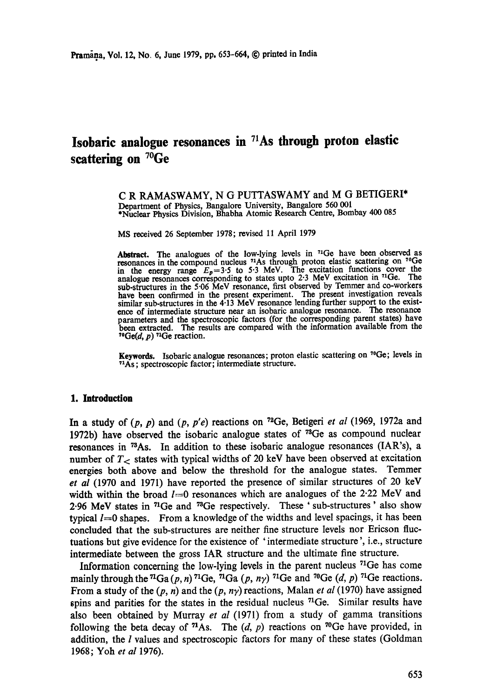# **Isobaric analogue resonances in 71As through proton elastic scattering on 7°Ge**

C R RAMASWAMY, N G PUTTASWAMY and M G BETIGERI\* Department of Physics, Bangalore University, Bangalore 560 001 \*Nuclear Physics Division, Bhabha Atomic Research Centre, Bombay 400 085

MS received 26 September 1978; revised 11 April 1979

Abstract. The analogues of the low-lying levels in  $71\text{Ge}$  have been observed as resonances in the compound nucleus <sup>71</sup>As through proton elastic scattering on <sup>70</sup>Ge in the energy range  $E_p=3.5$  to 5.3 MeV. The excitation functions cover the analogue resonances corresponding to states upto  $2.3$  MeV excitation in  $^{71}Ge$ . The sub-structures in the 5.06 MeV resonance, first observed by Temmer and co-workers have been confirmed in the present experiment. The present investigation reveals similar sub-structures in the 4.13 MeV resonance lending further support to the existence of intermediate structure near an isobaric analogue resonance. The resonance parameters and the spectroscopic factors (for the corresponding parent states) have been extracted. The results are compared with the information available from the  $^{70}Ge(d, p)$  <sup>71</sup>Ge reaction.

**Keywords.** Isobaric analogue resonances; proton elastic scattering on 7°Ge; levels in  $71As$ ; spectroscopic factor; intermediate structure.

#### **1. Introduction**

In a study of  $(p, p)$  and  $(p, p'e)$  reactions on <sup>72</sup>Ge, Betigeri *et al* (1969, 1972a and 1972b) have observed the isobaric analogue states of  $^{73}$ Ge as compound nuclear resonances in <sup>73</sup>As. In addition to these isobaric analogue resonances (IAR's), a number of  $T<$  states with typical widths of 20 keV have been observed at excitation energies both above and below the threshold for the analogue states. Temmer *et al* (1970 and 1971) have reported the presence of similar structures of 20 keV width within the broad  $l=0$  resonances which are analogues of the 2.22 MeV and 2.96 MeV states in <sup>71</sup>Ge and <sup>73</sup>Ge respectively. These ' sub-structures' also show typical  $l=0$  shapes. From a knowledge of the widths and level spacings, it has been concluded that the sub-structures are neither fine structure levels nor Ericson fluctuations but give evidence for the existence of ' intermediate structure ', i.e., structure intermediate between the gross IAR structure and the ultimate fine structure.

Information concerning the low-lying levels in the parent nucleus 71Ge has come mainly through the <sup>71</sup>Ga (p, n) <sup>71</sup>Ge, <sup>71</sup>Ga (p, n $\gamma$ ) <sup>71</sup>Ge and <sup>70</sup>Ge (d, p) <sup>71</sup>Ge reactions. From a study of the  $(p, n)$  and the  $(p, n\gamma)$  reactions, Malan *et al* (1970) have assigned spins and parities for the states in the residual nucleus  $^{71}$ Ge. Similar results have also been obtained by Murray *et al* (1971) from a study of gamma transitions following the beta decay of <sup>71</sup>As. The  $(d, p)$  reactions on <sup>70</sup>Ge have provided, in addition, the *l* values and spectroscopic factors for many of these states (Goldman 1968; Yoh *et al* 1976).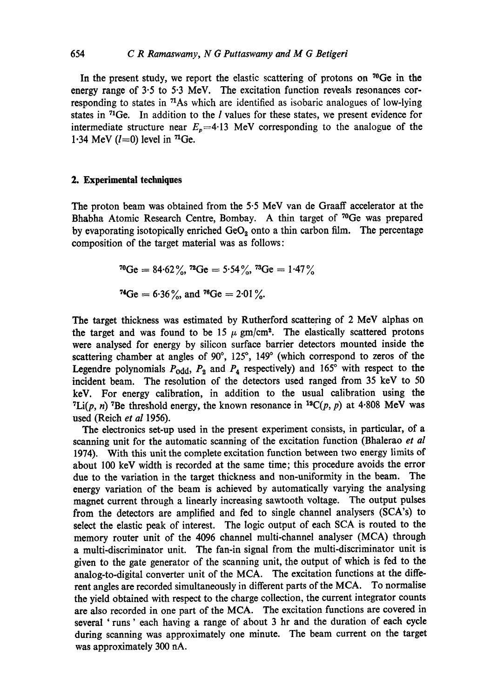In the present study, we report the elastic scattering of protons on  $\mathrm{^{70}Ge}$  in the energy range of  $3.5$  to  $5.3$  MeV. The excitation function reveals resonances corresponding to states in 71As which are identified as isobaric analogues of low-lying states in 71Ge. In addition to the I values for these states, we present evidence for intermediate structure near  $E_p=4.13$  MeV corresponding to the analogue of the 1.34 MeV  $(l=0)$  level in <sup>71</sup>Ge.

## **2. Experimental techniques**

The proton beam was obtained from the 5.5 MeV van de Graaff accelerator at the Bhabha Atomic Research Centre, Bombay. A thin target of <sup>70</sup>Ge was prepared by evaporating isotopically enriched  $GeO<sub>2</sub>$  onto a thin carbon film. The percentage composition of the target material was as follows:

7°Ge = 84.62%, ~SGe = 5.54%, 73Ge = 1.47 nGe = 6"36 %, and ~SGe = 2.01%.

The target thickness was estimated by Rutherford scattering of 2 MeV alphas on the target and was found to be 15  $\mu$  gm/cm<sup>2</sup>. The elastically scattered protons were analysed for energy by silicon surface barrier detectors mounted inside the scattering chamber at angles of  $90^{\circ}$ ,  $125^{\circ}$ ,  $149^{\circ}$  (which correspond to zeros of the Legendre polynomials  $P_{odd}$ ,  $P_2$  and  $P_4$  respectively) and 165° with respect to the incident beam. The resolution of the detectors used ranged from 35 keV to 50 keV. For energy calibration, in addition to the usual calibration using the <sup>7</sup>Li(p, n) <sup>7</sup>Be threshold energy, the known resonance in <sup>12</sup>C(p, p) at 4.808 MeV was used (Reich *et al* 1956).

The electronics set-up used in the present experiment consists, in particular, of a scanning unit for the automatic scanning of the excitation function (Bhalerao *et al*  1974). With this unit the complete excitation function between two energy limits of about 100 keV width is recorded at the same time; this procedure avoids the error due to the variation in the target thickness and non-uniformity in the beam. The energy variation of the beam is achieved by automatically varying the analysing magnet current through a linearly increasing sawtooth voltage. The output pulses from the detectors are amplified and fed to single channel analysers (SCA's) to select the elastic peak of interest. The logic output of each SCA is routed to the memory router unit of the 4096 channel multi-channel analyser (MCA) through a multi-discriminator unit. The fan-in signal from the multi-discriminator unit is given to the gate generator of the scanning unit, the output of which is fed to the analog-to-digital converter unit of the MCA. The excitation functions at the different angles are recorded simultaneously in different parts of the MCA. To normalise the yield obtained with respect to the charge collection, the current integrator counts are also recorded in one part of the MCA. The excitation functions are covered in several 'runs' each having a range of about 3 hr and the duration of each cycle during scanning was approximately one minute. The beam current on the target was approximately 300 nA.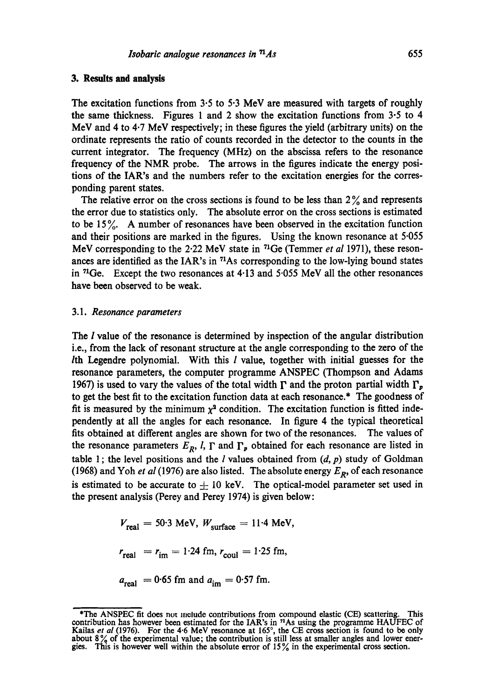The excitation functions from  $3.5$  to  $5.3$  MeV are measured with targets of roughly the same thickness. Figures 1 and 2 show the excitation functions from 3.5 to 4 MeV and 4 to 4.7 MeV respectively; in these figures the yield (arbitrary units) on the ordinate represents the ratio of counts recorded in the detector to the counts in the current integrator. The frequency (MHz) on the abscissa refers to the resonance frequency of the NMR probe. The arrows in the figures indicate the energy positions of the IAR's and the numbers refer to the excitation energies for the corresponding parent states.

The relative error on the cross sections is found to be less than  $2\%$  and represents the error due to statistics only. The absolute error on the cross sections is estimated to be 15 %. A number of resonances have been observed in the excitation function and their positions are marked in the figures. Using the known resonance at 5.055 MeV corresponding to the 2.22 MeV state in <sup>71</sup>Ge (Temmer *et al* 1971), these resonances are identified as the IAR's in  $<sup>71</sup>$ As corresponding to the low-lying bound states</sup> in  $^{71}Ge$ . Except the two resonances at 4.13 and 5.055 MeV all the other resonances have been observed to be weak.

#### 3.1. *Resonance parameters*

The I value of the resonance is determined by inspection of the angular distribution i.e., from the lack of resonant structure at the angle corresponding to the zero of the Ith Legendre polynomial. With this  $l$  value, together with initial guesses for the resonance parameters, the computer programme ANSPEC (Thompson and Adams 1967) is used to vary the values of the total width  $\Gamma$  and the proton partial width  $\Gamma_p$ to get the best fit to the excitation function data at each resonance.\* The goodness of fit is measured by the minimum  $\chi^2$  condition. The excitation function is fitted independently at all the angles for each resonance. In figure 4 the typical theoretical fits obtained at different angles are shown for two of the resonances. The values of the resonance parameters  $E_R$ ,  $l$ ,  $\Gamma$  and  $\Gamma_p$  obtained for each resonance are listed in table 1; the level positions and the  $l$  values obtained from  $(d, p)$  study of Goldman (1968) and Yoh *et al* (1976) are also listed. The absolute energy  $E_R$ , of each resonance is estimated to be accurate to  $\pm$  10 keV. The optical-model parameter set used in the present analysis (Percy and Percy 1974) is given below:

$$
V_{\text{real}} = 50.3 \text{ MeV}, W_{\text{surface}} = 11.4 \text{ MeV},
$$

$$
r_{\text{real}} = r_{\text{im}} = 1.24 \text{ fm}, r_{\text{coul}} = 1.25 \text{ fm},
$$

$$
a_{\text{real}} = 0.65 \text{ fm and } a_{\text{im}} = 0.57 \text{ fm}.
$$

<sup>\*</sup>The ANSPEC fit does not include contributions from compound elastic (CE) scattering. This contribution has however been estimated for the IAR's in  $<sup>71</sup>As$  using the programme HAUFEC of</sup> Kailas *et al* (1976). For the 4.6 MeV resonance at 165°, the CE cross section is found to be only about  $8\%$  of the experimental value; the contribution is still less at smaller angles and lower energies. This is however well within the absolute error of  $15\%$  in the experimental cross section.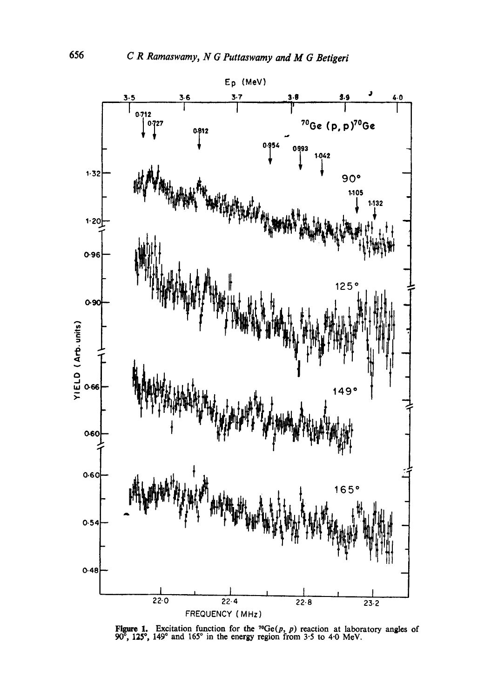

Figure 1. Excitation function for the <sup>70</sup>Ge(*p*, *p*) reaction at laboratory angles of 90<sup>°</sup>, 125<sup>°</sup>, 149<sup>°</sup> and 165<sup>°</sup> in the energy region from 3.5 to 4.0 MeV.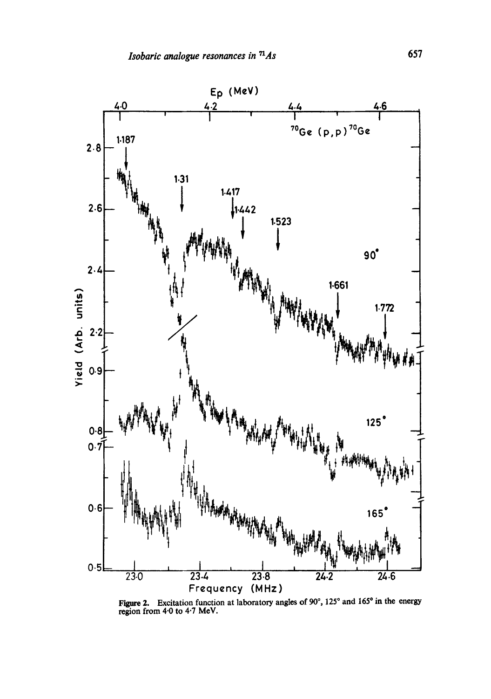

Figure 2. Excitation function at laboratory angles of  $90^{\circ}$ , 125 $^{\circ}$  and 165 $^{\circ}$  in the energy region from 4.0 to 4.7 MeV.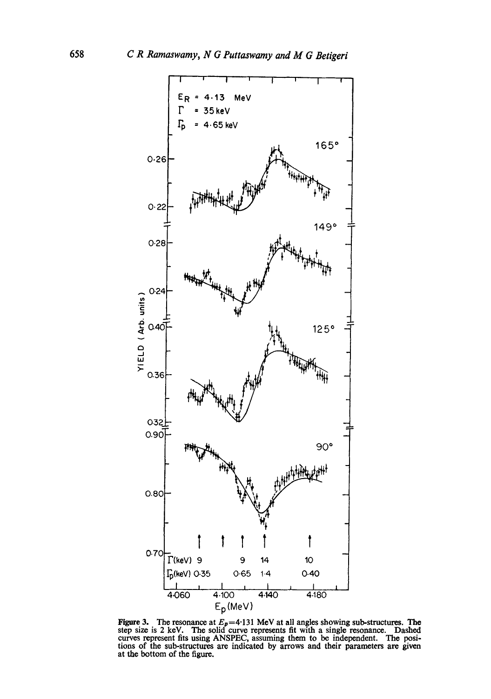

Figure 3. The resonance at  $E_p = 4.131$  MeV at all angles showing sub-structures. The step size is 2 keV. The solid curve represents fit with a single resonance. Dashed curves represent fits using ANSPEC, assuming them to be independent. The positions of the sub-structures are indicated by arrows and their parameters are given at the bottom of the figure.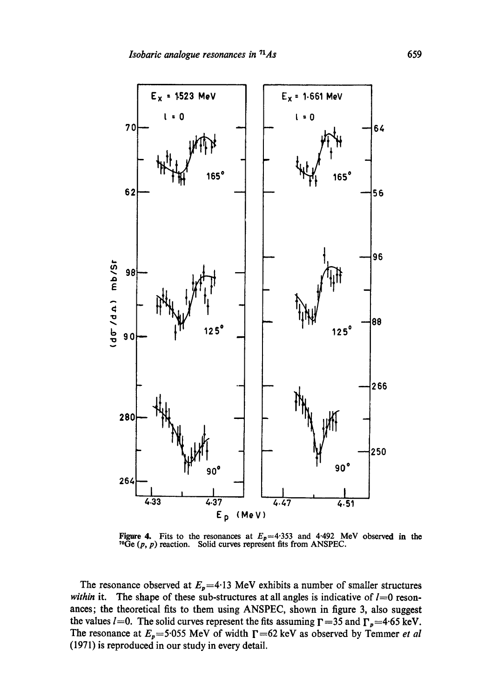

Figure 4. Fits to the resonances at  $E_p = 4.353$  and 4.492 MeV observed in the <sup>70</sup>Ge  $(p, p)$  reaction. Solid curves represent fits from ANSPEC.

The resonance observed at  $E_p = 4.13$  MeV exhibits a number of smaller structures *within* it. The shape of these sub-structures at all angles is indicative of  $l=0$  resonances; the theoretical fits to them using ANSPEC, shown in figure 3, also suggest the values  $l=0$ . The solid curves represent the fits assuming  $\Gamma = 35$  and  $\Gamma_p = 4.65$  keV. The resonance at  $E_p$ =5.055 MeV of width  $\Gamma$ =62 keV as observed by Temmer *et al* (1971) is reproduced in our study in every detail.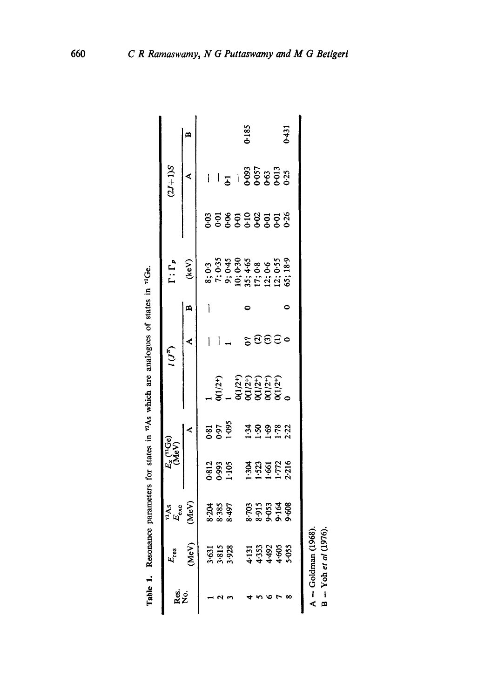|           | $E_{\rm res}$                  |                                              |                                                           | $E_x$ ( <sup>11</sup> Ge)<br>MeV |                                                          | (آلی) |   | $\Gamma$ ; $\Gamma_p$                                                                         |                  | $(2J+1)S$ |              |
|-----------|--------------------------------|----------------------------------------------|-----------------------------------------------------------|----------------------------------|----------------------------------------------------------|-------|---|-----------------------------------------------------------------------------------------------|------------------|-----------|--------------|
| gs.<br>Ko | MeV)                           | <sup>71</sup> As<br>E <sub>oxo</sub><br>MeV) |                                                           |                                  |                                                          |       | m | (keV)                                                                                         |                  | ¢         | $\mathbf{a}$ |
|           |                                |                                              |                                                           |                                  |                                                          |       |   |                                                                                               |                  |           |              |
|           | 3.813<br>3.813<br>3.928        | 8-204<br>8-385<br>8-497                      | 0.812<br>0.993<br>1.105                                   | 85<br>189<br>189                 |                                                          |       |   |                                                                                               |                  |           |              |
|           |                                |                                              |                                                           |                                  |                                                          |       |   |                                                                                               |                  |           |              |
|           |                                |                                              |                                                           |                                  |                                                          |       |   |                                                                                               |                  |           |              |
|           |                                |                                              |                                                           |                                  | 0(1/2+)<br>1<br>0(1/2+)<br>0(1/2+)<br>0(1/2+)<br>0(1/2+) |       |   | 8; 0:3<br>7; 0:35<br>9; 0:465<br>9; 0:465<br>9; 0:465<br>12; 0:55<br>12; 0:55<br>13:365; 18:9 | <b>858598588</b> |           | 0.185        |
|           |                                |                                              | $1.30$<br>$1.53$<br>$1.71$<br>$1.72$<br>$1.71$<br>$1.216$ | 359822                           |                                                          | geee  |   |                                                                                               |                  |           |              |
|           |                                |                                              |                                                           |                                  |                                                          |       |   |                                                                                               |                  |           |              |
|           |                                |                                              |                                                           |                                  |                                                          |       |   |                                                                                               |                  |           |              |
|           | 4:33<br>4:353<br>4:465<br>5:55 | 703<br>8915<br>99164<br>9966                 |                                                           |                                  |                                                          |       |   |                                                                                               |                  |           | 0.431        |

Table 1. Resonance parameters for states in "As which are analogues of states in "IGe. Resonance parameters for states in  $<sup>7</sup>As$  which are analogues of states in  $<sup>71</sup>Ge$ .</sup></sup>

**A ~** Goldman (1968).  $A = \text{Goldman} (1968).$ <br>B = Yoh et al (1976).

B = Yoh *et al* (1976).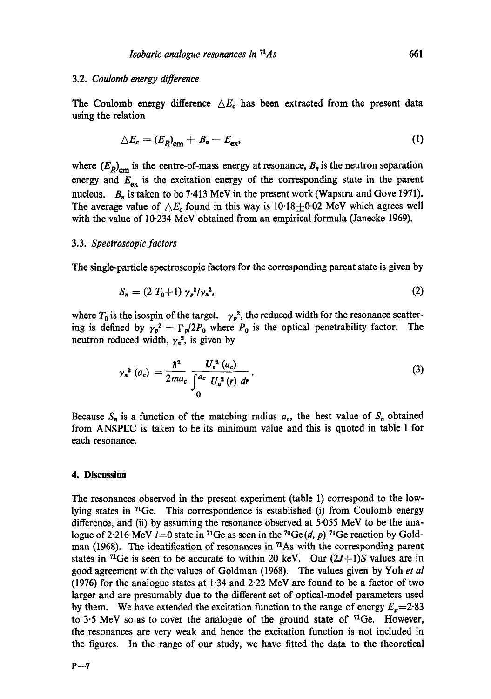## 3.2. *Coulomb energy difference*

The Coulomb energy difference  $\Delta E_c$  has been extracted from the present data using the relation

$$
\Delta E_c = (E_R)_{\rm cm} + B_n - E_{\rm ex},\tag{1}
$$

where  $(E_R)_{cm}$  is the centre-of-mass energy at resonance,  $B_n$  is the neutron separation energy and  $E_{ex}$  is the excitation energy of the corresponding state in the parent nucleus.  $B_n$  is taken to be 7.413 MeV in the present work (Wapstra and Gove 1971). The average value of  $\triangle E_c$  found in this way is 10.18 $\pm$ 0.02 MeV which agrees well with the value of 10.234 MeV obtained from an empirical formula (Janecke 1969).

## 3.3. *Spectroscopic factors*

The single-particle spectroscopic factors for the corresponding parent state is given by

$$
S_n = (2 T_0 + 1) \gamma_p^2 / \gamma_n^2, \tag{2}
$$

where  $T_0$  is the isospin of the target.  $\gamma_p^2$ , the reduced width for the resonance scattering is defined by  $\gamma_p^2 = \Gamma_p/2P_0$  where  $P_0$  is the optical penetrability factor. The neutron reduced width,  $\gamma_n^2$ , is given by

$$
\gamma_n^2(a_c) = \frac{\hbar^2}{2ma_c} \frac{U_n^2(a_c)}{\int_0^{a_c} U_n^2(r) \ dr}.
$$
 (3)

Because  $S_n$  is a function of the matching radius  $a_c$ , the best value of  $S_n$  obtained from ANSPEC is taken to be its minimum value and this is quoted in table 1 for each resonance.

#### **4. Discussion**

The resonances observed in the present experiment (table 1) correspond to the lowlying states in  $^{71}$ Ge. This correspondence is established (i) from Coulomb energy difference, and (ii) by assuming the resonance observed at 5.055 MeV to be the analogue of 2.216 MeV l=0 state in <sup>71</sup>Ge as seen in the <sup>70</sup>Ge (d, p) <sup>71</sup>Ge reaction by Goldman (1968). The identification of resonances in <sup>71</sup>As with the corresponding parent states in <sup>71</sup>Ge is seen to be accurate to within 20 keV. Our  $(2J+1)S$  values are in good agreement with the values of Goldman (1968). The values given by Yoh *et al*  (1976) for the analogue states at 1.34 and 2.22 MeV are found to be a factor of two larger and are presumably due to the different set of optical-model parameters used by them. We have extended the excitation function to the range of energy  $E_p=2.83$ to  $3.5$  MeV so as to cover the analogue of the ground state of  $71$ Ge. However, the resonances are very weak and hence the excitation function is not included in the figures. In the range of our study, we have fitted the data to the theoretical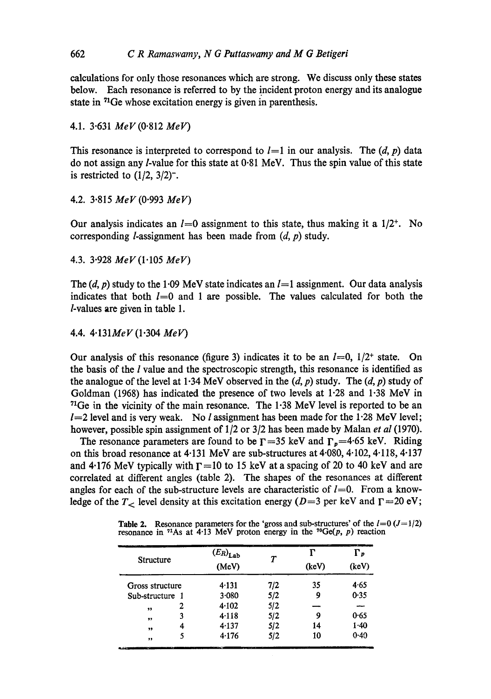calculations for only those resonances which are strong. We discuss only these states below. Each resonance is referred to by the incident proton energy and its analogue state in  $<sup>71</sup>Ge$  whose excitation energy is given in parenthesis.</sup>

4.1. 3.631 *MeV (0.812 MeV)* 

This resonance is interpreted to correspond to  $l=1$  in our analysis. The  $(d, p)$  data do not assign any *l*-value for this state at 0.81 MeV. Thus the spin value of this state is restricted to  $(1/2, 3/2)$ <sup>-</sup>.

4.2. 3.815 *MeV (0.993 MeV)* 

Our analysis indicates an  $l=0$  assignment to this state, thus making it a  $1/2^+$ . No corresponding *l*-assignment has been made from  $(d, p)$  study.

4.3. 3.928 *MeV (I'105 MeV)* 

The  $(d, p)$  study to the 1.09 MeV state indicates an  $l=1$  assignment. Our data analysis indicates that both  $l=0$  and 1 are possible. The values calculated for both the /-values are given in table 1.

4.4. *4"131MeV* (1.304 *Melt')* 

Our analysis of this resonance (figure 3) indicates it to be an  $l=0$ ,  $1/2^+$  state. On the basis of the  $l$  value and the spectroscopic strength, this resonance is identified as the analogue of the level at 1.34 MeV observed in the  $(d, p)$  study. The  $(d, p)$  study of Goldman (1968) has indicated the presence of two levels at 1.28 and 1.38 MeV in  $71$ Ge in the vicinity of the main resonance. The  $1.38$  MeV level is reported to be an  $1=2$  level and is very weak. No *l* assignment has been made for the 1.28 MeV level; however, possible spin assignment of  $1/2$  or  $3/2$  has been made by Malan *et al* (1970).

The resonance parameters are found to be  $\Gamma$  =35 keV and  $\Gamma_p$ =4.65 keV. Riding on this broad resonance at 4.131 MeV are sub-structures at 4.080, 4.102, 4.118, 4.137 and 4.176 MeV typically with  $\Gamma$  =10 to 15 keV at a spacing of 20 to 40 keV and are correlated at different angles (table 2). The shapes of the resonances at different angles for each of the sub-structure levels are characteristic of  $l=0$ . From a knowledge of the  $T<sub>1</sub>$  level density at this excitation energy (D=3 per keV and  $\Gamma$ =20 eV;

| <b>Table 2.</b> Resonance parameters for the 'gross and sub-structures' of the $l=0$ ( $J=1/2$ ) |
|--------------------------------------------------------------------------------------------------|
| resonance in <sup>71</sup> As at 4.13 MeV proton energy in the <sup>70</sup> Ge(p, p) reaction   |

|                  |   | $(E_R)_{Lab}$ | $\pmb{\tau}$ | г     | Г,     |
|------------------|---|---------------|--------------|-------|--------|
| <b>Structure</b> |   | (MeV)         |              | (keV) | (keV)  |
| Gross structure  |   | 4.131         | 7/2          | 35    | 4.65   |
| Sub-structure 1  |   | $3 - 080$     | 5/2          | 9     | 0.35   |
| ,,               | 2 | 4.102         | 5/2          |       | ---    |
| ,,               | 3 | 4.118         | 5/2          | 9     | 0.65   |
| ,,               | 4 | 4.137         | 5/2          | 14    | 1.40   |
| ,,               | 5 | 4.176         | 5/2          | 10    | $0-40$ |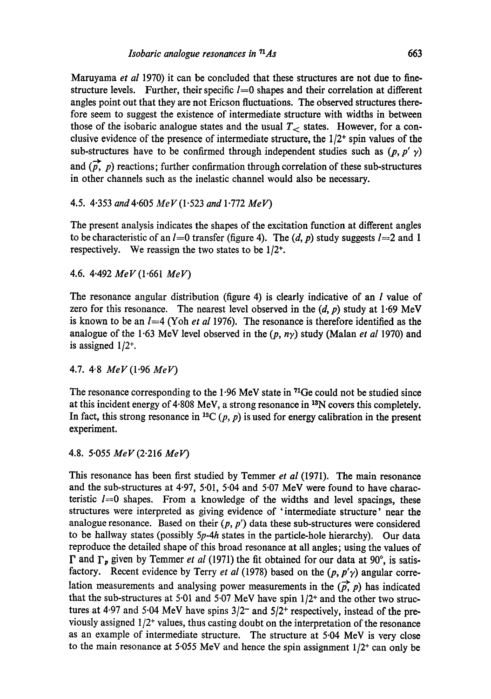Maruyama *et al* 1970) it can be concluded that these structures are not due to finestructure levels. Further, their specific  $l=0$  shapes and their correlation at different angles point out that they are not Ericson fluctuations. The observed structures therefore seem to suggest the existence of intermediate structure with widths in between those of the isobaric analogue states and the usual  $T<sub>></sub>$  states. However, for a conclusive evidence of the presence of intermediate structure, the  $1/2^+$  spin values of the sub-structures have to be confirmed through independent studies such as  $(p, p' \gamma)$ and  $(p, p)$  reactions; further confirmation through correlation of these sub-structures in other channels such as the inelastic channel would also be necessary.

## 4.5. 4.353 *and4.605 MeV (1.523 and* 1.772 *MeV)*

The present analysis indicates the shapes of the excitation function at different angles to be characteristic of an  $l=0$  transfer (figure 4). The  $(d, p)$  study suggests  $l=2$  and 1 respectively. We reassign the two states to be  $1/2^+$ .

4.6. 4.492 *MeV (1.661 MeV)* 

The resonance angular distribution (figure 4) is clearly indicative of an *l* value of zero for this resonance. The nearest level observed in the  $(d, p)$  study at 1.69 MeV is known to be an l=4 (Yoh *et al* 1976). The resonance is therefore identified as the analogue of the 1.63 MeV level observed in the  $(p, n\gamma)$  study (Malan *et al* 1970) and is assigned  $1/2^{+}$ .

4.7. 4"8 *MeV (1.96 MeF)* 

The resonance corresponding to the 1.96 MeV state in 71Ge could not be studied since at this incident energy of  $4.808$  MeV, a strong resonance in  $^{13}N$  covers this completely. In fact, this strong resonance in <sup>12</sup>C (p, p) is used for energy calibration in the present experiment.

4.8. 5.055 *MeV (2.216 MelO* 

This resonance has been first studied by Temmer *et al* (1971). The main resonance and the sub-structures at 4.97, 5.01, 5.04 and 5.07 MeV were found to have characteristic  $l=0$  shapes. From a knowledge of the widths and level spacings, these structures were interpreted as giving evidence of 'intermediate structure' near the analogue resonance. Based on their  $(p, p')$  data these sub-structures were considered to be hallway states (possibly *5p-4h* states in the particle-hole hierarchy). Our data reproduce the detailed shape of this broad resonance at all angles; using the values of  $\Gamma$  and  $\Gamma_p$  given by Temmer *et al* (1971) the fit obtained for our data at 90<sup>°</sup>, is satisfactory. Recent evidence by Terry *et al* (1978) based on the  $(p, p'\gamma)$  angular correlation measurements and analysing power measurements in the  $(\vec{p}, p)$  has indicated that the sub-structures at 5.01 and 5.07 MeV have spin  $1/2$ <sup>+</sup> and the other two structures at 4.97 and 5.04 MeV have spins  $3/2^-$  and  $5/2^+$  respectively, instead of the previously assigned  $1/2$ <sup>+</sup> values, thus casting doubt on the interpretation of the resonance as an example of intermediate structure. The structure at 5.04 MeV is very close to the main resonance at 5.055 MeV and hence the spin assignment  $1/2^+$  can only be